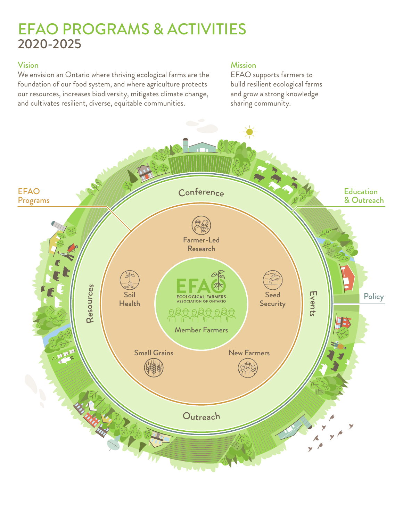# EFAO PROGRAMS & ACTIVITIES 2020-2025

#### Vision

We envision an Ontario where thriving ecological farms are the foundation of our food system, and where agriculture protects our resources, increases biodiversity, mitigates climate change, and cultivates resilient, diverse, equitable communities.

### **Mission**

EFAO supports farmers to build resilient ecological farms and grow a strong knowledge sharing community.